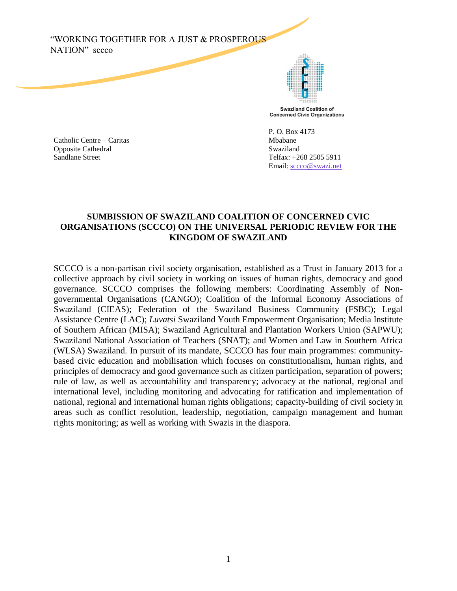"WORKING TOGETHER FOR A JUST & PROSPEROUS NATION" sccco



Catholic Centre – Caritas Mbabane Opposite Cathedral Swaziland Sandlane Street Telfax: +268 2505 5911

P. O. Box 4173 Email: [sccco@swazi.net](mailto:sccco@swazi.net)

### **SUMBISSION OF SWAZILAND COALITION OF CONCERNED CVIC ORGANISATIONS (SCCCO) ON THE UNIVERSAL PERIODIC REVIEW FOR THE KINGDOM OF SWAZILAND**

SCCCO is a non-partisan civil society organisation, established as a Trust in January 2013 for a collective approach by civil society in working on issues of human rights, democracy and good governance. SCCCO comprises the following members: Coordinating Assembly of Nongovernmental Organisations (CANGO); Coalition of the Informal Economy Associations of Swaziland (CIEAS); Federation of the Swaziland Business Community (FSBC); Legal Assistance Centre (LAC); *Luvatsi* Swaziland Youth Empowerment Organisation; Media Institute of Southern African (MISA); Swaziland Agricultural and Plantation Workers Union (SAPWU); Swaziland National Association of Teachers (SNAT); and Women and Law in Southern Africa (WLSA) Swaziland. In pursuit of its mandate, SCCCO has four main programmes: communitybased civic education and mobilisation which focuses on constitutionalism, human rights, and principles of democracy and good governance such as citizen participation, separation of powers; rule of law, as well as accountability and transparency; advocacy at the national, regional and international level, including monitoring and advocating for ratification and implementation of national, regional and international human rights obligations; capacity-building of civil society in areas such as conflict resolution, leadership, negotiation, campaign management and human rights monitoring; as well as working with Swazis in the diaspora.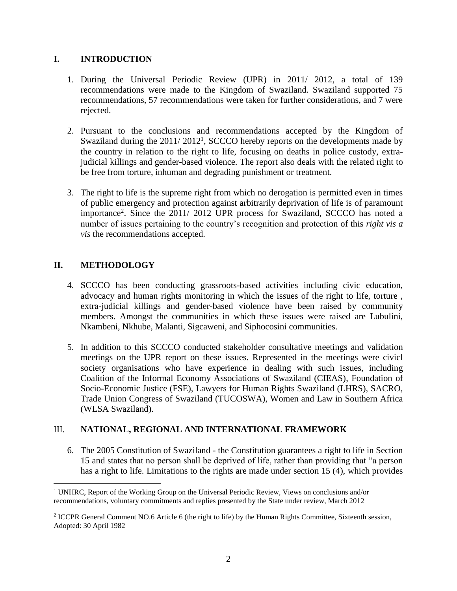## **I. INTRODUCTION**

- 1. During the Universal Periodic Review (UPR) in 2011/ 2012, a total of 139 recommendations were made to the Kingdom of Swaziland. Swaziland supported 75 recommendations, 57 recommendations were taken for further considerations, and 7 were rejected.
- 2. Pursuant to the conclusions and recommendations accepted by the Kingdom of Swaziland during the  $2011/2012<sup>1</sup>$ , SCCCO hereby reports on the developments made by the country in relation to the right to life, focusing on deaths in police custody, extrajudicial killings and gender-based violence. The report also deals with the related right to be free from torture, inhuman and degrading punishment or treatment.
- 3. The right to life is the supreme right from which no derogation is permitted even in times of public emergency and protection against arbitrarily deprivation of life is of paramount importance<sup>2</sup>. Since the 2011/ 2012 UPR process for Swaziland, SCCCO has noted a number of issues pertaining to the country's recognition and protection of this *right vis a vis* the recommendations accepted.

# **II. METHODOLOGY**

 $\overline{a}$ 

- 4. SCCCO has been conducting grassroots-based activities including civic education, advocacy and human rights monitoring in which the issues of the right to life, torture , extra-judicial killings and gender-based violence have been raised by community members. Amongst the communities in which these issues were raised are Lubulini, Nkambeni, Nkhube, Malanti, Sigcaweni, and Siphocosini communities.
- 5. In addition to this SCCCO conducted stakeholder consultative meetings and validation meetings on the UPR report on these issues. Represented in the meetings were civicl society organisations who have experience in dealing with such issues, including Coalition of the Informal Economy Associations of Swaziland (CIEAS), Foundation of Socio-Economic Justice (FSE), Lawyers for Human Rights Swaziland (LHRS), SACRO, Trade Union Congress of Swaziland (TUCOSWA), Women and Law in Southern Africa (WLSA Swaziland).

# III. **NATIONAL, REGIONAL AND INTERNATIONAL FRAMEWORK**

6. The 2005 Constitution of Swaziland - the Constitution guarantees a right to life in Section 15 and states that no person shall be deprived of life, rather than providing that "a person has a right to life. Limitations to the rights are made under section 15 (4), which provides

<sup>1</sup> UNHRC, Report of the Working Group on the Universal Periodic Review, Views on conclusions and/or recommendations, voluntary commitments and replies presented by the State under review, March 2012

<sup>&</sup>lt;sup>2</sup> ICCPR General Comment NO.6 Article 6 (the right to life) by the Human Rights Committee, Sixteenth session, Adopted: 30 April 1982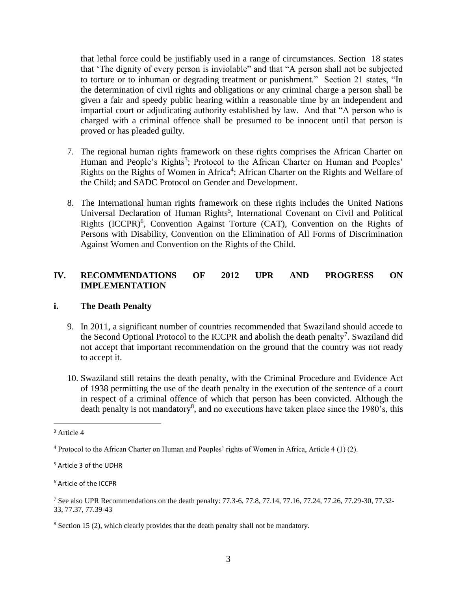that lethal force could be justifiably used in a range of circumstances. Section 18 states that 'The dignity of every person is inviolable" and that "A person shall not be subjected to torture or to inhuman or degrading treatment or punishment." Section 21 states, "In the determination of civil rights and obligations or any criminal charge a person shall be given a fair and speedy public hearing within a reasonable time by an independent and impartial court or adjudicating authority established by law. And that "A person who is charged with a criminal offence shall be presumed to be innocent until that person is proved or has pleaded guilty.

- 7. The regional human rights framework on these rights comprises the African Charter on Human and People's Rights<sup>3</sup>; Protocol to the African Charter on Human and Peoples' Rights on the Rights of Women in Africa<sup>4</sup>; African Charter on the Rights and Welfare of the Child; and SADC Protocol on Gender and Development.
- 8. The International human rights framework on these rights includes the United Nations Universal Declaration of Human Rights<sup>5</sup>, International Covenant on Civil and Political Rights (ICCPR)<sup>6</sup>, Convention Against Torture (CAT), Convention on the Rights of Persons with Disability, Convention on the Elimination of All Forms of Discrimination Against Women and Convention on the Rights of the Child.

## **IV. RECOMMENDATIONS OF 2012 UPR AND PROGRESS ON IMPLEMENTATION**

#### **i. The Death Penalty**

- 9. In 2011, a significant number of countries recommended that Swaziland should accede to the Second Optional Protocol to the ICCPR and abolish the death penalty<sup>7</sup>. Swaziland did not accept that important recommendation on the ground that the country was not ready to accept it.
- 10. Swaziland still retains the death penalty, with the Criminal Procedure and Evidence Act of 1938 permitting the use of the death penalty in the execution of the sentence of a court in respect of a criminal offence of which that person has been convicted. Although the death penalty is not mandatory<sup>8</sup>, and no executions have taken place since the 1980's, this

<sup>3</sup> Article 4

<sup>4</sup> Protocol to the African Charter on Human and Peoples' rights of Women in Africa, Article 4 (1) (2).

<sup>5</sup> Article 3 of the UDHR

<sup>6</sup> Article of the ICCPR

<sup>7</sup> See also UPR Recommendations on the death penalty: 77.3-6, 77.8, 77.14, 77.16, 77.24, 77.26, 77.29-30, 77.32- 33, 77.37, 77.39-43

<sup>&</sup>lt;sup>8</sup> Section 15 (2), which clearly provides that the death penalty shall not be mandatory.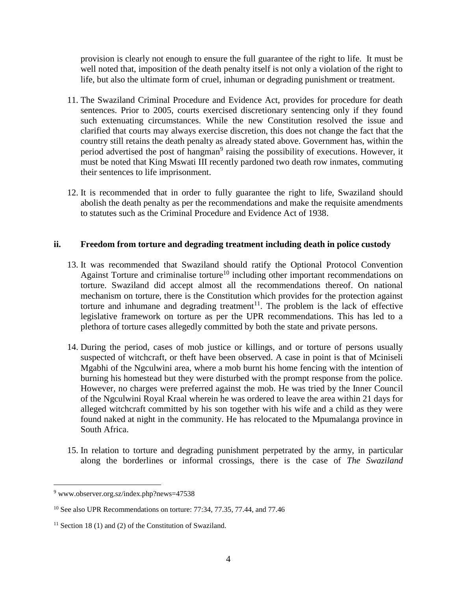provision is clearly not enough to ensure the full guarantee of the right to life. It must be well noted that, imposition of the death penalty itself is not only a violation of the right to life, but also the ultimate form of cruel, inhuman or degrading punishment or treatment.

- 11. The Swaziland Criminal Procedure and Evidence Act, provides for procedure for death sentences. Prior to 2005, courts exercised discretionary sentencing only if they found such extenuating circumstances. While the new Constitution resolved the issue and clarified that courts may always exercise discretion, this does not change the fact that the country still retains the death penalty as already stated above. Government has, within the period advertised the post of hangman<sup>9</sup> raising the possibility of executions. However, it must be noted that King Mswati III recently pardoned two death row inmates, commuting their sentences to life imprisonment.
- 12. It is recommended that in order to fully guarantee the right to life, Swaziland should abolish the death penalty as per the recommendations and make the requisite amendments to statutes such as the Criminal Procedure and Evidence Act of 1938.

### **ii. Freedom from torture and degrading treatment including death in police custody**

- 13. It was recommended that Swaziland should ratify the Optional Protocol Convention Against Torture and criminalise torture<sup>10</sup> including other important recommendations on torture. Swaziland did accept almost all the recommendations thereof. On national mechanism on torture, there is the Constitution which provides for the protection against torture and inhumane and degrading treatment<sup>11</sup>. The problem is the lack of effective legislative framework on torture as per the UPR recommendations. This has led to a plethora of torture cases allegedly committed by both the state and private persons.
- 14. During the period, cases of mob justice or killings, and or torture of persons usually suspected of witchcraft, or theft have been observed. A case in point is that of Mciniseli Mgabhi of the Ngculwini area, where a mob burnt his home fencing with the intention of burning his homestead but they were disturbed with the prompt response from the police. However, no charges were preferred against the mob. He was tried by the Inner Council of the Ngculwini Royal Kraal wherein he was ordered to leave the area within 21 days for alleged witchcraft committed by his son together with his wife and a child as they were found naked at night in the community. He has relocated to the Mpumalanga province in South Africa.
- 15. In relation to torture and degrading punishment perpetrated by the army, in particular along the borderlines or informal crossings, there is the case of *The Swaziland*

<sup>9</sup> www.observer.org.sz/index.php?news=47538

<sup>&</sup>lt;sup>10</sup> See also UPR Recommendations on torture: 77:34, 77.35, 77.44, and 77.46

<sup>&</sup>lt;sup>11</sup> Section 18 (1) and (2) of the Constitution of Swaziland.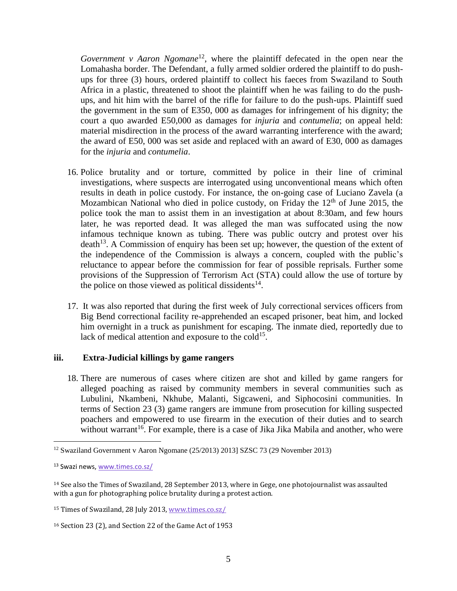*Government v Aaron Ngomane*<sup>12</sup>, where the plaintiff defecated in the open near the Lomahasha border. The Defendant, a fully armed soldier ordered the plaintiff to do pushups for three (3) hours, ordered plaintiff to collect his faeces from Swaziland to South Africa in a plastic, threatened to shoot the plaintiff when he was failing to do the pushups, and hit him with the barrel of the rifle for failure to do the push-ups. Plaintiff sued the government in the sum of E350, 000 as damages for infringement of his dignity; the court a quo awarded E50,000 as damages for *injuria* and *contumelia*; on appeal held: material misdirection in the process of the award warranting interference with the award; the award of E50, 000 was set aside and replaced with an award of E30, 000 as damages for the *injuria* and *contumelia*.

- 16. Police brutality and or torture, committed by police in their line of criminal investigations, where suspects are interrogated using unconventional means which often results in death in police custody. For instance, the on-going case of Luciano Zavela (a Mozambican National who died in police custody, on Friday the  $12<sup>th</sup>$  of June 2015, the police took the man to assist them in an investigation at about 8:30am, and few hours later, he was reported dead. It was alleged the man was suffocated using the now infamous technique known as tubing. There was public outcry and protest over his  $death<sup>13</sup>$ . A Commission of enquiry has been set up; however, the question of the extent of the independence of the Commission is always a concern, coupled with the public's reluctance to appear before the commission for fear of possible reprisals. Further some provisions of the Suppression of Terrorism Act (STA) could allow the use of torture by the police on those viewed as political dissidents<sup>14</sup>.
- 17. It was also reported that during the first week of July correctional services officers from Big Bend correctional facility re-apprehended an escaped prisoner, beat him, and locked him overnight in a truck as punishment for escaping. The inmate died, reportedly due to lack of medical attention and exposure to the cold<sup>15</sup>.

#### **iii. Extra-Judicial killings by game rangers**

18. There are numerous of cases where citizen are shot and killed by game rangers for alleged poaching as raised by community members in several communities such as Lubulini, Nkambeni, Nkhube, Malanti, Sigcaweni, and Siphocosini communities. In terms of Section 23 (3) game rangers are immune from prosecution for killing suspected poachers and empowered to use firearm in the execution of their duties and to search without warrant<sup>16</sup>. For example, there is a case of Jika Jika Mabila and another, who were

<sup>12</sup> Swaziland Government v Aaron Ngomane (25/2013) 2013] SZSC 73 (29 November 2013)

<sup>13</sup> Swazi news, [www.times.co.sz/](http://www.times.co.sz/)

<sup>14</sup> See also the Times of Swaziland, 28 September 2013, where in Gege, one photojournalist was assaulted with a gun for photographing police brutality during a protest action.

<sup>15</sup> Times of Swaziland, 28 July 2013[, www.times.co.sz/](http://www.times.co.sz/) 

<sup>16</sup> Section 23 (2), and Section 22 of the Game Act of 1953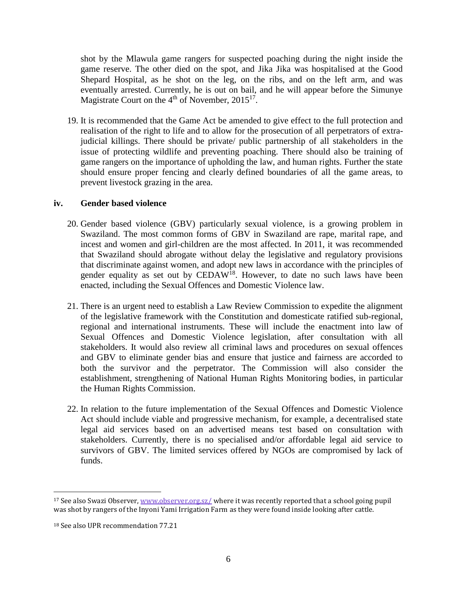shot by the Mlawula game rangers for suspected poaching during the night inside the game reserve. The other died on the spot, and Jika Jika was hospitalised at the Good Shepard Hospital, as he shot on the leg, on the ribs, and on the left arm, and was eventually arrested. Currently, he is out on bail, and he will appear before the Simunye Magistrate Court on the  $4<sup>th</sup>$  of November, 2015<sup>17</sup>.

19. It is recommended that the Game Act be amended to give effect to the full protection and realisation of the right to life and to allow for the prosecution of all perpetrators of extrajudicial killings. There should be private/ public partnership of all stakeholders in the issue of protecting wildlife and preventing poaching. There should also be training of game rangers on the importance of upholding the law, and human rights. Further the state should ensure proper fencing and clearly defined boundaries of all the game areas, to prevent livestock grazing in the area.

#### **iv. Gender based violence**

- 20. Gender based violence (GBV) particularly sexual violence, is a growing problem in Swaziland. The most common forms of GBV in Swaziland are rape, marital rape, and incest and women and girl-children are the most affected. In 2011, it was recommended that Swaziland should abrogate without delay the legislative and regulatory provisions that discriminate against women, and adopt new laws in accordance with the principles of gender equality as set out by  $\text{CEDAW}^{18}$ . However, to date no such laws have been enacted, including the Sexual Offences and Domestic Violence law.
- 21. There is an urgent need to establish a Law Review Commission to expedite the alignment of the legislative framework with the Constitution and domesticate ratified sub-regional, regional and international instruments. These will include the enactment into law of Sexual Offences and Domestic Violence legislation, after consultation with all stakeholders. It would also review all criminal laws and procedures on sexual offences and GBV to eliminate gender bias and ensure that justice and fairness are accorded to both the survivor and the perpetrator. The Commission will also consider the establishment, strengthening of National Human Rights Monitoring bodies, in particular the Human Rights Commission.
- 22. In relation to the future implementation of the Sexual Offences and Domestic Violence Act should include viable and progressive mechanism, for example, a decentralised state legal aid services based on an advertised means test based on consultation with stakeholders. Currently, there is no specialised and/or affordable legal aid service to survivors of GBV. The limited services offered by NGOs are compromised by lack of funds.

<sup>17</sup> See also Swazi Observer[, www.observer.org.sz/](http://www.observer.org.sz/) where it was recently reported that a school going pupil was shot by rangers of the Inyoni Yami Irrigation Farm as they were found inside looking after cattle.

<sup>18</sup> See also UPR recommendation 77.21